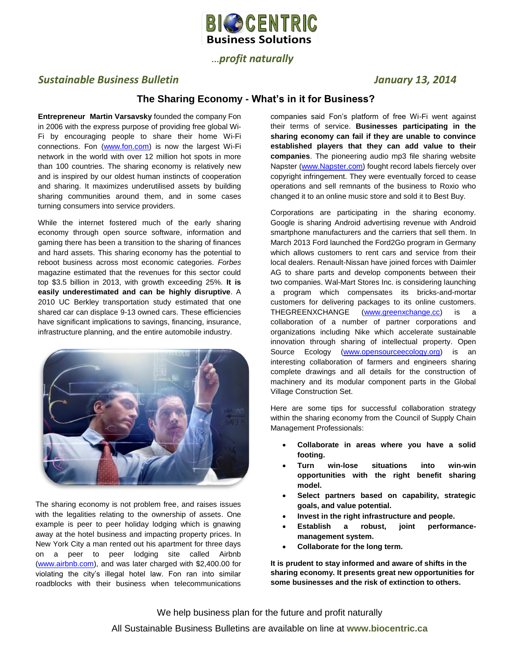

# …*profit naturally*

# *Sustainable Business Bulletin January 13, 2014*

### **The Sharing Economy - What's in it for Business?**

**Entrepreneur Martin Varsavsky** founded the company Fon in 2006 with the express purpose of providing free global Wi-Fi by encouraging people to share their home Wi-Fi connections. Fon [\(www.fon.com\)](http://www.fon.com/) is now the largest Wi-Fi network in the world with over 12 million hot spots in more than 100 countries. The sharing economy is relatively new and is inspired by our oldest human instincts of cooperation and sharing. It maximizes underutilised assets by building sharing communities around them, and in some cases turning consumers into service providers.

While the internet fostered much of the early sharing economy through open source software, information and gaming there has been a transition to the sharing of finances and hard assets. This sharing economy has the potential to reboot business across most economic categories. *Forbes*  magazine estimated that the revenues for this sector could top \$3.5 billion in 2013, with growth exceeding 25%. **It is easily underestimated and can be highly disruptive**. A 2010 UC Berkley transportation study estimated that one shared car can displace 9-13 owned cars. These efficiencies have significant implications to savings, financing, insurance, infrastructure planning, and the entire automobile industry.



The sharing economy is not problem free, and raises issues with the legalities relating to the ownership of assets. One example is peer to peer holiday lodging which is gnawing away at the hotel business and impacting property prices. In New York City a man rented out his apartment for three days on a peer to peer lodging site called Airbnb [\(www.airbnb.com\)](http://www.airbnb.com/), and was later charged with \$2,400.00 for violating the city's illegal hotel law. Fon ran into similar roadblocks with their business when telecommunications

companies said Fon's platform of free Wi-Fi went against their terms of service. **Businesses participating in the sharing economy can fail if they are unable to convince established players that they can add value to their companies**. The pioneering audio mp3 file sharing website Napster [\(www.Napster.com\)](http://www.napster.com/) fought record labels fiercely over copyright infringement. They were eventually forced to cease operations and sell remnants of the business to Roxio who changed it to an online music store and sold it to Best Buy.

Corporations are participating in the sharing economy. Google is sharing Android advertising revenue with Android smartphone manufacturers and the carriers that sell them. In March 2013 Ford launched the Ford2Go program in Germany which allows customers to rent cars and service from their local dealers. Renault-Nissan have joined forces with Daimler AG to share parts and develop components between their two companies. Wal-Mart Stores Inc. is considering launching a program which compensates its bricks-and-mortar customers for delivering packages to its online customers. THEGREENXCHANGE [\(www.greenxchange.cc\)](http://www.greenxchange.cc/) is a collaboration of a number of partner corporations and organizations including Nike which accelerate sustainable innovation through sharing of intellectual property. Open Source Ecology [\(www.opensourceecology.org\)](http://www.opensourceecology.org/) is an interesting collaboration of farmers and engineers sharing complete drawings and all details for the construction of machinery and its modular component parts in the Global Village Construction Set.

Here are some tips for successful collaboration strategy within the sharing economy from the Council of Supply Chain Management Professionals:

- **Collaborate in areas where you have a solid footing.**
- **Turn win-lose situations into win-win opportunities with the right benefit sharing model.**
- **Select partners based on capability, strategic goals, and value potential.**
- **Invest in the right infrastructure and people.**
- **Establish a robust, joint performancemanagement system.**
- **Collaborate for the long term.**

**It is prudent to stay informed and aware of shifts in the sharing economy. It presents great new opportunities for some businesses and the risk of extinction to others.**

We help business plan for the future and profit naturally All Sustainable Business Bulletins are available on line at **www.biocentric.ca**